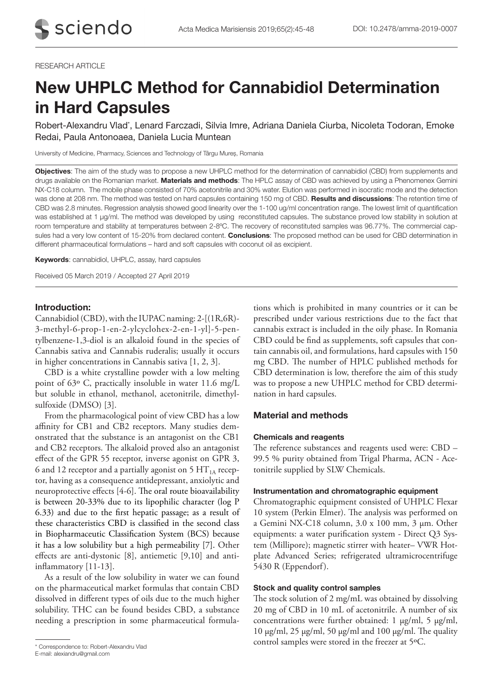## RESEARCH ARTICLE

# New UHPLC Method for Cannabidiol Determination in Hard Capsules

Robert-Alexandru Vlad\*, Lenard Farczadi, Silvia Imre, Adriana Daniela Ciurba, Nicoleta Todoran, Emoke Redai, Paula Antonoaea, Daniela Lucia Muntean

University of Medicine, Pharmacy, Sciences and Technology of Târgu Mureș, Romania

Objectives: The aim of the study was to propose a new UHPLC method for the determination of cannabidiol (CBD) from supplements and drugs available on the Romanian market. Materials and methods: The HPLC assay of CBD was achieved by using a Phenomenex Gemini NX-C18 column. The mobile phase consisted of 70% acetonitrile and 30% water. Elution was performed in isocratic mode and the detection was done at 208 nm. The method was tested on hard capsules containing 150 mg of CBD. Results and discussions: The retention time of CBD was 2.8 minutes. Regression analysis showed good linearity over the 1-100 ug/ml concentration range. The lowest limit of quantification was established at 1 µg/ml. The method was developed by using reconstituted capsules. The substance proved low stability in solution at room temperature and stability at temperatures between 2-8ºC. The recovery of reconstituted samples was 96.77%. The commercial capsules had a very low content of 15-20% from declared content. Conclusions: The proposed method can be used for CBD determination in different pharmaceutical formulations – hard and soft capsules with coconut oil as excipient.

Keywords: cannabidiol, UHPLC, assay, hard capsules

Received 05 March 2019 / Accepted 27 April 2019

# Introduction:

Cannabidiol (CBD), with the IUPAC naming: 2-[(1R,6R)- 3-methyl-6-prop-1-en-2-ylcyclohex-2-en-1-yl]-5-pentylbenzene-1,3-diol is an alkaloid found in the species of Cannabis sativa and Cannabis ruderalis; usually it occurs in higher concentrations in Cannabis sativa [1, 2, 3].

CBD is a white crystalline powder with a low melting point of 63º C, practically insoluble in water 11.6 mg/L but soluble in ethanol, methanol, acetonitrile, dimethylsulfoxide (DMSO) [3].

From the pharmacological point of view CBD has a low affinity for CB1 and CB2 receptors. Many studies demonstrated that the substance is an antagonist on the CB1 and CB2 receptors. The alkaloid proved also an antagonist effect of the GPR 55 receptor, inverse agonist on GPR 3, 6 and 12 receptor and a partially agonist on 5  $HT_{1A}$  receptor, having as a consequence antidepressant, anxiolytic and neuroprotective effects [4-6]. The oral route bioavailability is between 20-33% due to its lipophilic character (log P 6.33) and due to the first hepatic passage; as a result of these characteristics CBD is classified in the second class in Biopharmaceutic Classification System (BCS) because it has a low solubility but a high permeability [7]. Other effects are anti-dystonic [8], antiemetic [9,10] and antiinflammatory [11-13].

As a result of the low solubility in water we can found on the pharmaceutical market formulas that contain CBD dissolved in different types of oils due to the much higher solubility. THC can be found besides CBD, a substance needing a prescription in some pharmaceutical formulations which is prohibited in many countries or it can be prescribed under various restrictions due to the fact that cannabis extract is included in the oily phase. In Romania CBD could be find as supplements, soft capsules that contain cannabis oil, and formulations, hard capsules with 150 mg CBD. The number of HPLC published methods for CBD determination is low, therefore the aim of this study was to propose a new UHPLC method for CBD determination in hard capsules.

# Material and methods

## Chemicals and reagents

The reference substances and reagents used were: CBD – 99.5 % purity obtained from Trigal Pharma, ACN - Acetonitrile supplied by SLW Chemicals.

### Instrumentation and chromatographic equipment

Chromatographic equipment consisted of UHPLC Flexar 10 system (Perkin Elmer). The analysis was performed on a Gemini NX-C18 column, 3.0 x 100 mm, 3 µm. Other equipments: a water purification system - Direct Q3 System (Millipore); magnetic stirrer with heater– VWR Hotplate Advanced Series; refrigerated ultramicrocentrifuge 5430 R (Eppendorf).

## Stock and quality control samples

The stock solution of 2 mg/mL was obtained by dissolving 20 mg of CBD in 10 mL of acetonitrile. A number of six concentrations were further obtained: 1 µg/ml, 5 µg/ml, 10 µg/ml, 25 µg/ml, 50 µg/ml and 100 µg/ml. The quality control samples were stored in the freezer at 5ºC. \* Correspondence to: Robert-Alexandru Vlad

E-mail: alexiandru@gmail.com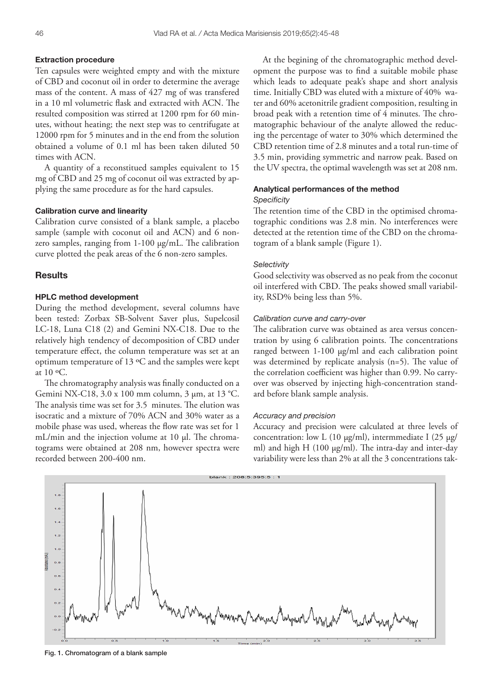#### Extraction procedure

Ten capsules were weighted empty and with the mixture of CBD and coconut oil in order to determine the average mass of the content. A mass of 427 mg of was transfered in a 10 ml volumetric flask and extracted with ACN. The resulted composition was stirred at 1200 rpm for 60 minutes, without heating; the next step was to centrifugate at 12000 rpm for 5 minutes and in the end from the solution obtained a volume of 0.1 ml has been taken diluted 50 times with ACN.

A quantity of a reconstitued samples equivalent to 15 mg of CBD and 25 mg of coconut oil was extracted by applying the same procedure as for the hard capsules.

#### Calibration curve and linearity

Calibration curve consisted of a blank sample, a placebo sample (sample with coconut oil and ACN) and 6 nonzero samples, ranging from 1-100 µg/mL. The calibration curve plotted the peak areas of the 6 non-zero samples.

## **Results**

# HPLC method development

During the method development, several columns have been tested: Zorbax SB-Solvent Saver plus, Supelcosil LC-18, Luna C18 (2) and Gemini NX-C18. Due to the relatively high tendency of decomposition of CBD under temperature effect, the column temperature was set at an optimum temperature of 13 ºC and the samples were kept at  $10 \text{°C}$ .

The chromatography analysis was finally conducted on a Gemini NX-C18, 3.0 x 100 mm column, 3 µm, at 13 °C. The analysis time was set for 3.5 minutes. The elution was isocratic and a mixture of 70% ACN and 30% water as a mobile phase was used, whereas the flow rate was set for 1 mL/min and the injection volume at 10 µl. The chromatograms were obtained at 208 nm, however spectra were recorded between 200-400 nm.

At the begining of the chromatographic method development the purpose was to find a suitable mobile phase which leads to adequate peak's shape and short analysis time. Initially CBD was eluted with a mixture of 40% water and 60% acetonitrile gradient composition, resulting in broad peak with a retention time of 4 minutes. The chromatographic behaviour of the analyte allowed the reducing the percentage of water to 30% which determined the CBD retention time of 2.8 minutes and a total run-time of 3.5 min, providing symmetric and narrow peak. Based on the UV spectra, the optimal wavelength was set at 208 nm.

# Analytical performances of the method

## *Specificity*

The retention time of the CBD in the optimised chromatographic conditions was 2.8 min. No interferences were detected at the retention time of the CBD on the chromatogram of a blank sample (Figure 1).

#### *Selectivity*

Good selectivity was observed as no peak from the coconut oil interfered with CBD. The peaks showed small variability, RSD% being less than 5%.

## *Calibration curve and carry-over*

The calibration curve was obtained as area versus concentration by using 6 calibration points. The concentrations ranged between 1-100 µg/ml and each calibration point was determined by replicate analysis (n=5). The value of the correlation coefficient was higher than 0.99. No carryover was observed by injecting high-concentration standard before blank sample analysis.

#### *Accuracy and precision*

Accuracy and precision were calculated at three levels of concentration: low L (10  $\mu$ g/ml), intermmediate I (25  $\mu$ g/ ml) and high H (100 µg/ml). The intra-day and inter-day variability were less than 2% at all the 3 concentrations tak-



Fig. 1. Chromatogram of a blank sample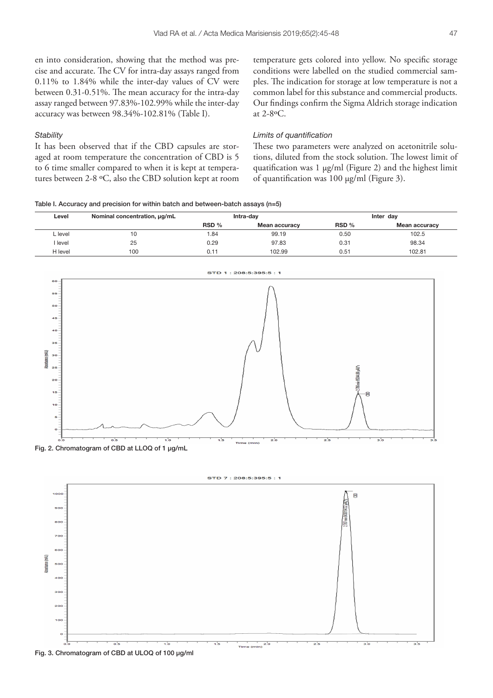en into consideration, showing that the method was precise and accurate. The CV for intra-day assays ranged from 0.11% to 1.84% while the inter-day values of CV were between 0.31-0.51%. The mean accuracy for the intra-day assay ranged between 97.83%-102.99% while the inter-day accuracy was between 98.34%-102.81% (Table I).

## *Stability*

It has been observed that if the CBD capsules are storaged at room temperature the concentration of CBD is 5 to 6 time smaller compared to when it is kept at temperatures between 2-8 ºC, also the CBD solution kept at room temperature gets colored into yellow. No specific storage conditions were labelled on the studied commercial samples. The indication for storage at low temperature is not a common label for this substance and commercial products. Our findings confirm the Sigma Aldrich storage indication at 2-8ºC.

## *Limits of quantification*

These two parameters were analyzed on acetonitrile solutions, diluted from the stock solution. The lowest limit of quatification was 1 µg/ml (Figure 2) and the highest limit of quantification was 100 µg/ml (Figure 3).

Table I. Accuracy and precision for within batch and between-batch assays (n=5)

| Level   | Nominal concentration, ug/mL | Intra-dav |               | Inter dav |               |
|---------|------------------------------|-----------|---------------|-----------|---------------|
|         |                              | RSD %     | Mean accuracy | RSD %     | Mean accuracy |
| L level | 10                           | 1.84      | 99.19         | 0.50      | 102.5         |
| I level | 25                           | 0.29      | 97.83         | 0.31      | 98.34         |
| H level | 100                          | 0.11      | 102.99        | 0.51      | 102.81        |



Fig. 2. Chromatogram of CBD at LLOQ of 1 µg/mL





Fig. 3. Chromatogram of CBD at ULOQ of 100 µg/ml